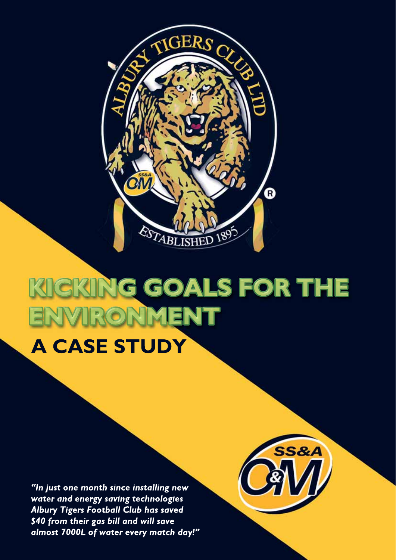

# CKING GOALS FOR THE IRONMENT **A CASE STUDY**

**SS&A** 

"In just one month since installing new water and energy saving technologies Albury Tigers Football Club has saved \$40 from their gas bill and will save almost 7000L of water every match day!"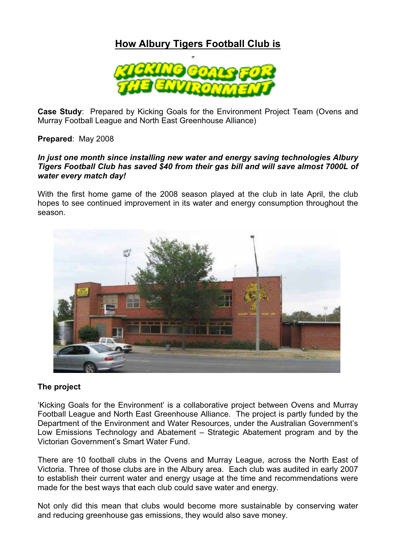## **How Albury Tigers Football Club is**



**Case Study**: Prepared by Kicking Goals for the Environment Project Team (Ovens and Murray Football League and North East Greenhouse Alliance)

**Prepared**: May 2008

#### *In just one month since installing new water and energy saving technologies Albury Tigers Football Club has saved \$40 from their gas bill and will save almost 7000L of water every match day!*

With the first home game of the 2008 season played at the club in late April, the club hopes to see continued improvement in its water and energy consumption throughout the season.



#### **The project**

'Kicking Goals for the Environment' is a collaborative project between Ovens and Murray Football League and North East Greenhouse Alliance. The project is partly funded by the Department of the Environment and Water Resources, under the Australian Government's Low Emissions Technology and Abatement – Strategic Abatement program and by the Victorian Government's Smart Water Fund.

There are 10 football clubs in the Ovens and Murray League, across the North East of Victoria. Three of those clubs are in the Albury area. Each club was audited in early 2007 to establish their current water and energy usage at the time and recommendations were made for the best ways that each club could save water and energy.

Not only did this mean that clubs would become more sustainable by conserving water and reducing greenhouse gas emissions, they would also save money.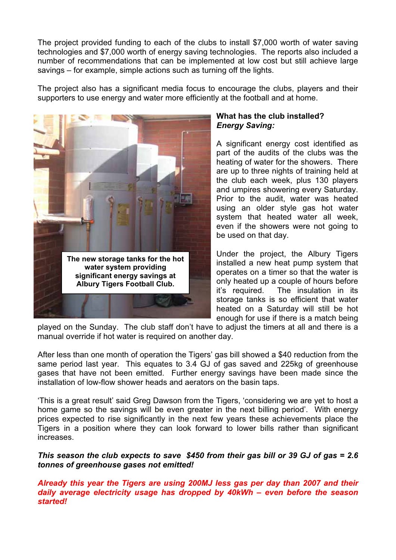The project provided funding to each of the clubs to install \$7,000 worth of water saving technologies and \$7,000 worth of energy saving technologies. The reports also included a number of recommendations that can be implemented at low cost but still achieve large savings – for example, simple actions such as turning off the lights.

The project also has a significant media focus to encourage the clubs, players and their supporters to use energy and water more efficiently at the football and at home.



### **What has the club installed?**  *Energy Saving:*

A significant energy cost identified as part of the audits of the clubs was the heating of water for the showers. There are up to three nights of training held at the club each week, plus 130 players and umpires showering every Saturday. Prior to the audit, water was heated using an older style gas hot water system that heated water all week, even if the showers were not going to be used on that day.

Under the project, the Albury Tigers installed a new heat pump system that operates on a timer so that the water is only heated up a couple of hours before it's required. The insulation in its storage tanks is so efficient that water heated on a Saturday will still be hot enough for use if there is a match being

played on the Sunday. The club staff don't have to adjust the timers at all and there is a manual override if hot water is required on another day.

After less than one month of operation the Tigers' gas bill showed a \$40 reduction from the same period last year. This equates to 3.4 GJ of gas saved and 225kg of greenhouse gases that have not been emitted. Further energy savings have been made since the installation of low-flow shower heads and aerators on the basin taps.

'This is a great result' said Greg Dawson from the Tigers, 'considering we are yet to host a home game so the savings will be even greater in the next billing period'. With energy prices expected to rise significantly in the next few years these achievements place the Tigers in a position where they can look forward to lower bills rather than significant increases.

*This season the club expects to save \$450 from their gas bill or 39 GJ of gas = 2.6 tonnes of greenhouse gases not emitted!* 

*Already this year the Tigers are using 200MJ less gas per day than 2007 and their daily average electricity usage has dropped by 40kWh – even before the season started!*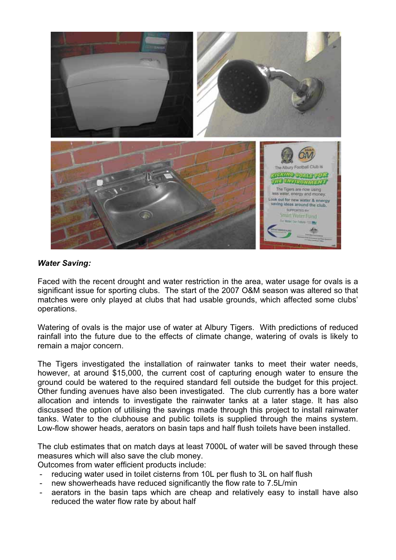

#### *Water Saving:*

Faced with the recent drought and water restriction in the area, water usage for ovals is a significant issue for sporting clubs. The start of the 2007 O&M season was altered so that matches were only played at clubs that had usable grounds, which affected some clubs' operations.

Watering of ovals is the major use of water at Albury Tigers. With predictions of reduced rainfall into the future due to the effects of climate change, watering of ovals is likely to remain a major concern.

The Tigers investigated the installation of rainwater tanks to meet their water needs, however, at around \$15,000, the current cost of capturing enough water to ensure the ground could be watered to the required standard fell outside the budget for this project. Other funding avenues have also been investigated. The club currently has a bore water allocation and intends to investigate the rainwater tanks at a later stage. It has also discussed the option of utilising the savings made through this project to install rainwater tanks. Water to the clubhouse and public toilets is supplied through the mains system. Low-flow shower heads, aerators on basin taps and half flush toilets have been installed.

The club estimates that on match days at least 7000L of water will be saved through these measures which will also save the club money.

Outcomes from water efficient products include:

- reducing water used in toilet cisterns from 10L per flush to 3L on half flush
- new showerheads have reduced significantly the flow rate to 7.5L/min
- aerators in the basin taps which are cheap and relatively easy to install have also reduced the water flow rate by about half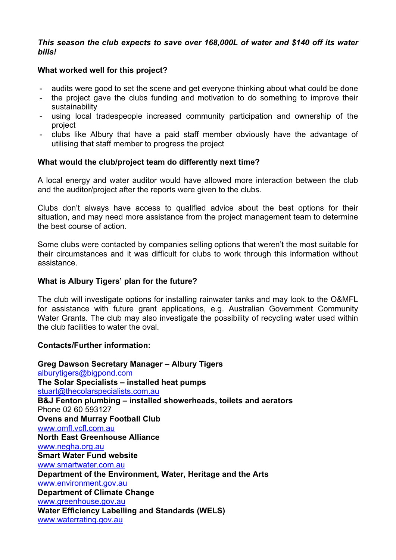#### *This season the club expects to save over 168,000L of water and \$140 off its water bills!*

#### **What worked well for this project?**

- audits were good to set the scene and get everyone thinking about what could be done
- the project gave the clubs funding and motivation to do something to improve their sustainability
- using local tradespeople increased community participation and ownership of the project
- clubs like Albury that have a paid staff member obviously have the advantage of utilising that staff member to progress the project

#### **What would the club/project team do differently next time?**

A local energy and water auditor would have allowed more interaction between the club and the auditor/project after the reports were given to the clubs.

Clubs don't always have access to qualified advice about the best options for their situation, and may need more assistance from the project management team to determine the best course of action.

Some clubs were contacted by companies selling options that weren't the most suitable for their circumstances and it was difficult for clubs to work through this information without assistance.

#### **What is Albury Tigers' plan for the future?**

The club will investigate options for installing rainwater tanks and may look to the O&MFL for assistance with future grant applications, e.g. Australian Government Community Water Grants. The club may also investigate the possibility of recycling water used within the club facilities to water the oval.

#### **Contacts/Further information:**

**Greg Dawson Secretary Manager – Albury Tigers**  alburytigers@bigpond.com **The Solar Specialists – installed heat pumps**  stuart@thecolarspecialists.com.au **B&J Fenton plumbing – installed showerheads, toilets and aerators**  Phone 02 60 593127 **Ovens and Murray Football Club**  www.omfl.vcfl.com.au **North East Greenhouse Alliance**  www.negha.org.au **Smart Water Fund website**  www.smartwater.com.au **Department of the Environment, Water, Heritage and the Arts**  www.environment.gov.au **Department of Climate Change**  www.greenhouse.gov.au **Water Efficiency Labelling and Standards (WELS)**  www.waterrating.gov.au